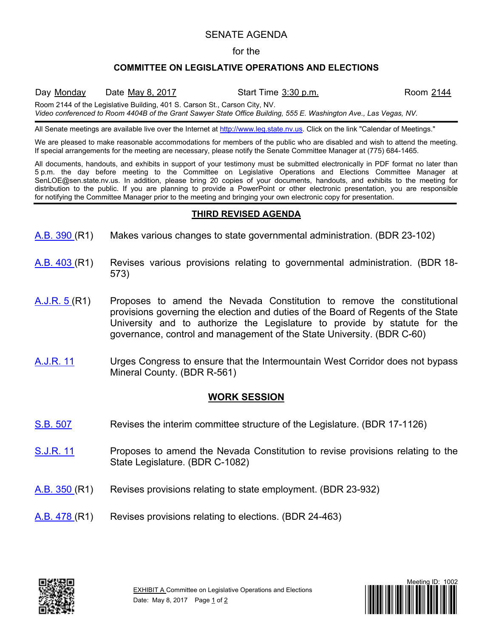## SENATE AGENDA

#### for the

### **COMMITTEE ON LEGISLATIVE OPERATIONS AND ELECTIONS**

Day Monday Date May 8, 2017 Start Time 3:30 p.m. Room 2144

Room 2144 of the Legislative Building, 401 S. Carson St., Carson City, NV.

*Video conferenced to Room 4404B of the Grant Sawyer State Office Building, 555 E. Washington Ave., Las Vegas, NV.*

All Senate meetings are available live over the Internet at [http://www.leg.state.nv.us.](http://www.leg.state.nv.us/) Click on the link "Calendar of Meetings."

We are pleased to make reasonable accommodations for members of the public who are disabled and wish to attend the meeting. If special arrangements for the meeting are necessary, please notify the Senate Committee Manager at (775) 684-1465.

All documents, handouts, and exhibits in support of your testimony must be submitted electronically in PDF format no later than 5 p.m. the day before meeting to the Committee on Legislative Operations and Elections Committee Manager at SenLOE@sen.state.nv.us. In addition, please bring 20 copies of your documents, handouts, and exhibits to the meeting for distribution to the public. If you are planning to provide a PowerPoint or other electronic presentation, you are responsible for notifying the Committee Manager prior to the meeting and bringing your own electronic copy for presentation.

### **THIRD REVISED AGENDA**

- [A.B.](https://www.leg.state.nv.us/App/NELIS/REL/79th2017/Bill/5438/Overview/) 390 (R1) Makes various changes to state governmental administration. (BDR 23-102)
- [A.B.](https://www.leg.state.nv.us/App/NELIS/REL/79th2017/Bill/5481/Overview/) 403 (R1) Revises various provisions relating to governmental administration. (BDR 18- 573)
- [A.J.R.](https://www.leg.state.nv.us/App/NELIS/REL/79th2017/Bill/5015/Overview/) 5 (R1) Proposes to amend the Nevada Constitution to remove the constitutional provisions governing the election and duties of the Board of Regents of the State University and to authorize the Legislature to provide by statute for the governance, control and management of the State University. (BDR C-60)
- <u>[A.J.R.](https://www.leg.state.nv.us/App/NELIS/REL/79th2017/Bill/5302/Overview/) 11</u> Urges Congress to ensure that the Intermountain West Corridor does not bypass Mineral County. (BDR R-561)

# **WORK SESSION**

- [S.B.](https://www.leg.state.nv.us/App/NELIS/REL/79th2017/Bill/5751/Overview/) 507 Revises the interim committee structure of the Legislature. (BDR 17-1126)
- [S.J.R.](https://www.leg.state.nv.us/App/NELIS/REL/79th2017/Bill/5652/Overview/) 11 Proposes to amend the Nevada Constitution to revise provisions relating to the State Legislature. (BDR C-1082)
- [A.B.](https://www.leg.state.nv.us/App/NELIS/REL/79th2017/Bill/5359/Overview/) 350 (R1) Revises provisions relating to state employment. (BDR 23-932)
- [A.B.](https://www.leg.state.nv.us/App/NELIS/REL/79th2017/Bill/5742/Overview/) 478 (R1) Revises provisions relating to elections. (BDR 24-463)